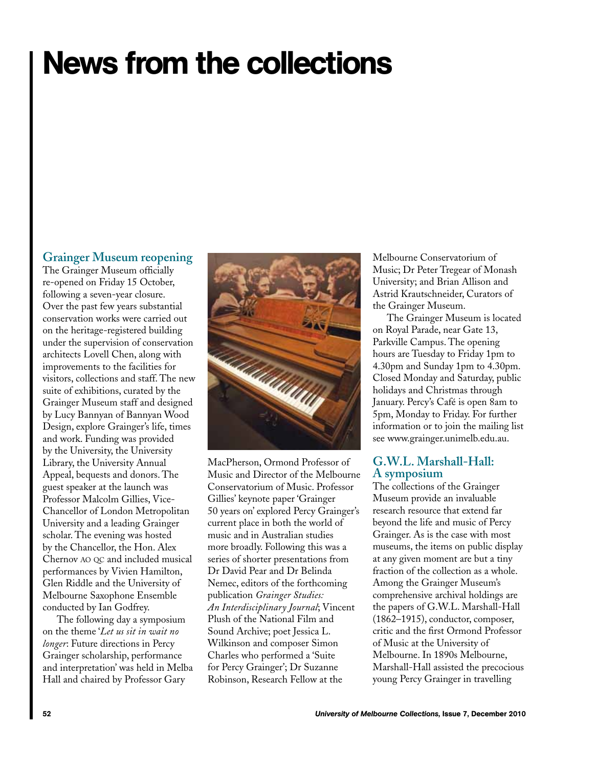# News from the collections

## **Grainger Museum reopening**

The Grainger Museum officially re-opened on Friday 15 October, following a seven-year closure. Over the past few years substantial conservation works were carried out on the heritage-registered building under the supervision of conservation architects Lovell Chen, along with improvements to the facilities for visitors, collections and staff. The new suite of exhibitions, curated by the Grainger Museum staff and designed by Lucy Bannyan of Bannyan Wood Design, explore Grainger's life, times and work. Funding was provided by the University, the University Library, the University Annual Appeal, bequests and donors. The guest speaker at the launch was Professor Malcolm Gillies, Vice-Chancellor of London Metropolitan University and a leading Grainger scholar. The evening was hosted by the Chancellor, the Hon. Alex Chernov ao qc and included musical performances by Vivien Hamilton, Glen Riddle and the University of Melbourne Saxophone Ensemble conducted by Ian Godfrey.

The following day a symposium on the theme '*Let us sit in wait no longer*: Future directions in Percy Grainger scholarship, performance and interpretation' was held in Melba Hall and chaired by Professor Gary



MacPherson, Ormond Professor of Music and Director of the Melbourne Conservatorium of Music. Professor Gillies' keynote paper 'Grainger 50 years on' explored Percy Grainger's current place in both the world of music and in Australian studies more broadly. Following this was a series of shorter presentations from Dr David Pear and Dr Belinda Nemec, editors of the forthcoming publication *Grainger Studies: An Interdisciplinary Journal*; Vincent Plush of the National Film and Sound Archive; poet Jessica L. Wilkinson and composer Simon Charles who performed a 'Suite for Percy Grainger'; Dr Suzanne Robinson, Research Fellow at the

Melbourne Conservatorium of Music; Dr Peter Tregear of Monash University; and Brian Allison and Astrid Krautschneider, Curators of the Grainger Museum.

The Grainger Museum is located on Royal Parade, near Gate 13, Parkville Campus. The opening hours are Tuesday to Friday 1pm to 4.30pm and Sunday 1pm to 4.30pm. Closed Monday and Saturday, public holidays and Christmas through January. Percy's Café is open 8am to 5pm, Monday to Friday. For further information or to join the mailing list see www.grainger.unimelb.edu.au.

### **G.W.L. Marshall-Hall: A symposium**

The collections of the Grainger Museum provide an invaluable research resource that extend far beyond the life and music of Percy Grainger. As is the case with most museums, the items on public display at any given moment are but a tiny fraction of the collection as a whole. Among the Grainger Museum's comprehensive archival holdings are the papers of G.W.L. Marshall-Hall (1862–1915), conductor, composer, critic and the first Ormond Professor of Music at the University of Melbourne. In 1890s Melbourne, Marshall-Hall assisted the precocious young Percy Grainger in travelling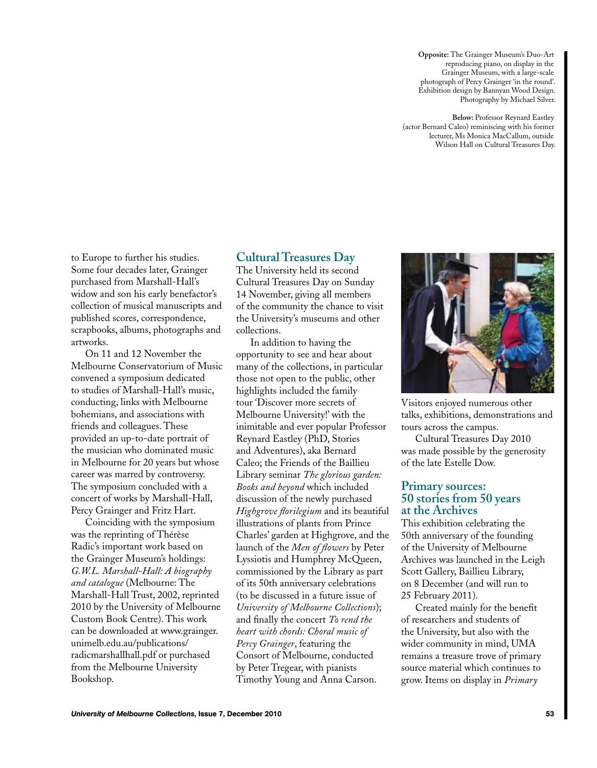**Opposite:** The Grainger Museum's Duo-Art reproducing piano, on display in the Grainger Museum, with a large-scale photograph of Percy Grainger 'in the round'. Exhibition design by Bannyan Wood Design. Photography by Michael Silver.

**Below:** Professor Reynard Eastley (actor Bernard Caleo) reminiscing with his former lecturer, Ms Monica MacCallum, outside Wilson Hall on Cultural Treasures Day.

to Europe to further his studies. Some four decades later, Grainger purchased from Marshall-Hall's widow and son his early benefactor's collection of musical manuscripts and published scores, correspondence, scrapbooks, albums, photographs and artworks.

On 11 and 12 November the Melbourne Conservatorium of Music convened a symposium dedicated to studies of Marshall-Hall's music, conducting, links with Melbourne bohemians, and associations with friends and colleagues. These provided an up-to-date portrait of the musician who dominated music in Melbourne for 20 years but whose career was marred by controversy. The symposium concluded with a concert of works by Marshall-Hall, Percy Grainger and Fritz Hart.

Coinciding with the symposium was the reprinting of Thérèse Radic's important work based on the Grainger Museum's holdings: *G.W.L. Marshall-Hall: A biography and catalogue* (Melbourne: The Marshall-Hall Trust, 2002, reprinted 2010 by the University of Melbourne Custom Book Centre). This work can be downloaded at www.grainger. unimelb.edu.au/publications/ radicmarshallhall.pdf or purchased from the Melbourne University Bookshop.

#### **Cultural Treasures Day**

The University held its second Cultural Treasures Day on Sunday 14 November, giving all members of the community the chance to visit the University's museums and other collections.

In addition to having the opportunity to see and hear about many of the collections, in particular those not open to the public, other highlights included the family tour 'Discover more secrets of Melbourne University!' with the inimitable and ever popular Professor Reynard Eastley (PhD, Stories and Adventures), aka Bernard Caleo; the Friends of the Baillieu Library seminar *The glorious garden: Books and beyond* which included discussion of the newly purchased *Highgrove florilegium* and its beautiful illustrations of plants from Prince Charles' garden at Highgrove, and the launch of the *Men of flowers* by Peter Lyssiotis and Humphrey McQueen, commissioned by the Library as part of its 50th anniversary celebrations (to be discussed in a future issue of *University of Melbourne Collections*); and finally the concert *To rend the heart with chords: Choral music of Percy Grainger*, featuring the Consort of Melbourne, conducted by Peter Tregear, with pianists Timothy Young and Anna Carson.



Visitors enjoyed numerous other talks, exhibitions, demonstrations and tours across the campus.

Cultural Treasures Day 2010 was made possible by the generosity of the late Estelle Dow.

#### **Primary sources: 50 stories from 50 years at the Archives**

This exhibition celebrating the 50th anniversary of the founding of the University of Melbourne Archives was launched in the Leigh Scott Gallery, Baillieu Library, on 8 December (and will run to 25 February 2011).

Created mainly for the benefit of researchers and students of the University, but also with the wider community in mind, UMA remains a treasure trove of primary source material which continues to grow. Items on display in *Primary*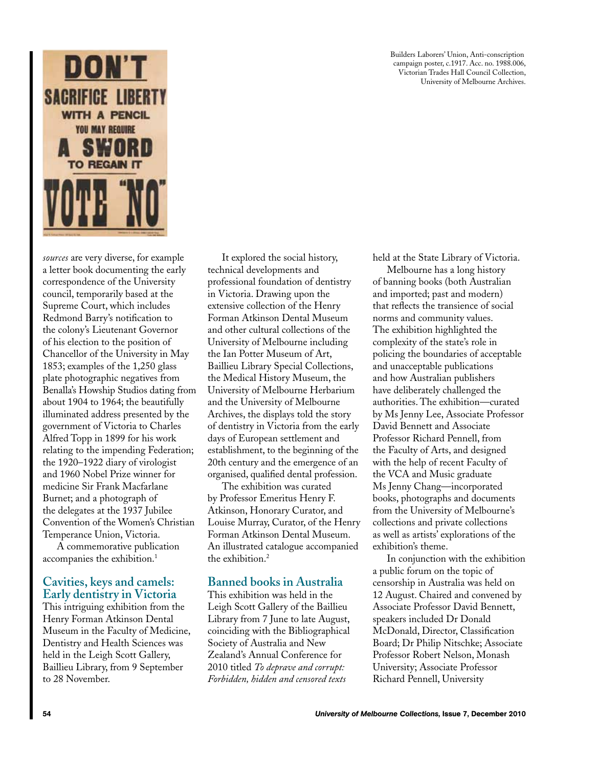

*sources* are very diverse, for example a letter book documenting the early correspondence of the University council, temporarily based at the Supreme Court, which includes Redmond Barry's notification to the colony's Lieutenant Governor of his election to the position of Chancellor of the University in May 1853; examples of the 1,250 glass plate photographic negatives from Benalla's Howship Studios dating from about 1904 to 1964; the beautifully illuminated address presented by the government of Victoria to Charles Alfred Topp in 1899 for his work relating to the impending Federation; the 1920–1922 diary of virologist and 1960 Nobel Prize winner for medicine Sir Frank Macfarlane Burnet; and a photograph of the delegates at the 1937 Jubilee Convention of the Women's Christian Temperance Union, Victoria.

A commemorative publication accompanies the exhibition.<sup>1</sup>

#### **Cavities, keys and camels: Early dentistry in Victoria**

This intriguing exhibition from the Henry Forman Atkinson Dental Museum in the Faculty of Medicine, Dentistry and Health Sciences was held in the Leigh Scott Gallery, Baillieu Library, from 9 September to 28 November.

It explored the social history, technical developments and professional foundation of dentistry in Victoria. Drawing upon the extensive collection of the Henry Forman Atkinson Dental Museum and other cultural collections of the University of Melbourne including the Ian Potter Museum of Art, Baillieu Library Special Collections, the Medical History Museum, the University of Melbourne Herbarium and the University of Melbourne Archives, the displays told the story of dentistry in Victoria from the early days of European settlement and establishment, to the beginning of the 20th century and the emergence of an organised, qualified dental profession.

The exhibition was curated by Professor Emeritus Henry F. Atkinson, Honorary Curator, and Louise Murray, Curator, of the Henry Forman Atkinson Dental Museum. An illustrated catalogue accompanied the exhibition.<sup>2</sup>

#### **Banned books in Australia**

This exhibition was held in the Leigh Scott Gallery of the Baillieu Library from 7 June to late August, coinciding with the Bibliographical Society of Australia and New Zealand's Annual Conference for 2010 titled *To deprave and corrupt: Forbidden, hidden and censored texts* 

Builders Laborers' Union, Anti-conscription campaign poster, c.1917. Acc. no. 1988.006, Victorian Trades Hall Council Collection, University of Melbourne Archives.

held at the State Library of Victoria.

Melbourne has a long history of banning books (both Australian and imported; past and modern) that reflects the transience of social norms and community values. The exhibition highlighted the complexity of the state's role in policing the boundaries of acceptable and unacceptable publications and how Australian publishers have deliberately challenged the authorities. The exhibition—curated by Ms Jenny Lee, Associate Professor David Bennett and Associate Professor Richard Pennell, from the Faculty of Arts, and designed with the help of recent Faculty of the VCA and Music graduate Ms Jenny Chang—incorporated books, photographs and documents from the University of Melbourne's collections and private collections as well as artists' explorations of the exhibition's theme.

In conjunction with the exhibition a public forum on the topic of censorship in Australia was held on 12 August. Chaired and convened by Associate Professor David Bennett, speakers included Dr Donald McDonald, Director, Classification Board; Dr Philip Nitschke; Associate Professor Robert Nelson, Monash University; Associate Professor Richard Pennell, University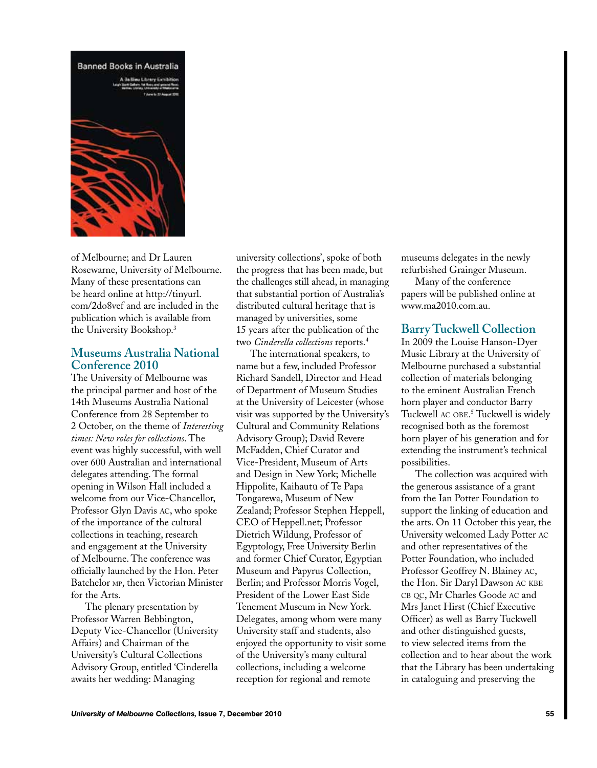

of Melbourne; and Dr Lauren Rosewarne, University of Melbourne. Many of these presentations can be heard online at http://tinyurl. com/2do8vef and are included in the publication which is available from the University Bookshop.3

#### **Museums Australia National Conference 2010**

The University of Melbourne was the principal partner and host of the 14th Museums Australia National Conference from 28 September to 2 October, on the theme of *Interesting times: New roles for collections*. The event was highly successful, with well over 600 Australian and international delegates attending. The formal opening in Wilson Hall included a welcome from our Vice-Chancellor, Professor Glyn Davis ac, who spoke of the importance of the cultural collections in teaching, research and engagement at the University of Melbourne. The conference was officially launched by the Hon. Peter Batchelor MP, then Victorian Minister for the Arts.

The plenary presentation by Professor Warren Bebbington, Deputy Vice-Chancellor (University Affairs) and Chairman of the University's Cultural Collections Advisory Group, entitled 'Cinderella awaits her wedding: Managing

university collections', spoke of both the progress that has been made, but the challenges still ahead, in managing that substantial portion of Australia's distributed cultural heritage that is managed by universities, some 15 years after the publication of the two *Cinderella collections* reports.4

The international speakers, to name but a few, included Professor Richard Sandell, Director and Head of Department of Museum Studies at the University of Leicester (whose visit was supported by the University's Cultural and Community Relations Advisory Group); David Revere McFadden, Chief Curator and Vice-President, Museum of Arts and Design in New York; Michelle Hippolite, Kaihautū of Te Papa Tongarewa, Museum of New Zealand; Professor Stephen Heppell, CEO of Heppell.net; Professor Dietrich Wildung, Professor of Egyptology, Free University Berlin and former Chief Curator, Egyptian Museum and Papyrus Collection, Berlin; and Professor Morris Vogel, President of the Lower East Side Tenement Museum in New York. Delegates, among whom were many University staff and students, also enjoyed the opportunity to visit some of the University's many cultural collections, including a welcome reception for regional and remote

museums delegates in the newly refurbished Grainger Museum.

Many of the conference papers will be published online at www.ma2010.com.au.

#### **Barry Tuckwell Collection**

In 2009 the Louise Hanson-Dyer Music Library at the University of Melbourne purchased a substantial collection of materials belonging to the eminent Australian French horn player and conductor Barry Tuckwell ac obe. 5 Tuckwell is widely recognised both as the foremost horn player of his generation and for extending the instrument's technical possibilities.

The collection was acquired with the generous assistance of a grant from the Ian Potter Foundation to support the linking of education and the arts. On 11 October this year, the University welcomed Lady Potter ac and other representatives of the Potter Foundation, who included Professor Geoffrey N. Blainey ac, the Hon. Sir Daryl Dawson ac kbe CB QC, Mr Charles Goode AC and Mrs Janet Hirst (Chief Executive Officer) as well as Barry Tuckwell and other distinguished guests, to view selected items from the collection and to hear about the work that the Library has been undertaking in cataloguing and preserving the